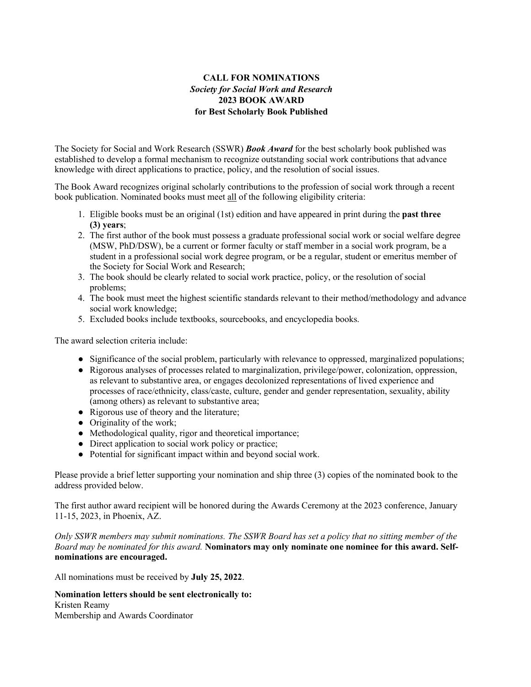## **CALL FOR NOMINATIONS** *Society for Social Work and Research* **2023 BOOK AWARD for Best Scholarly Book Published**

The Society for Social and Work Research (SSWR) *Book Award* for the best scholarly book published was established to develop a formal mechanism to recognize outstanding social work contributions that advance knowledge with direct applications to practice, policy, and the resolution of social issues.

The Book Award recognizes original scholarly contributions to the profession of social work through a recent book publication. Nominated books must meet all of the following eligibility criteria:

- 1. Eligible books must be an original (1st) edition and have appeared in print during the **past three (3) years**;
- 2. The first author of the book must possess a graduate professional social work or social welfare degree (MSW, PhD/DSW), be a current or former faculty or staff member in a social work program, be a student in a professional social work degree program, or be a regular, student or emeritus member of the Society for Social Work and Research;
- 3. The book should be clearly related to social work practice, policy, or the resolution of social problems;
- 4. The book must meet the highest scientific standards relevant to their method/methodology and advance social work knowledge;
- 5. Excluded books include textbooks, sourcebooks, and encyclopedia books.

The award selection criteria include:

- Significance of the social problem, particularly with relevance to oppressed, marginalized populations;
- Rigorous analyses of processes related to marginalization, privilege/power, colonization, oppression, as relevant to substantive area, or engages decolonized representations of lived experience and processes of race/ethnicity, class/caste, culture, gender and gender representation, sexuality, ability (among others) as relevant to substantive area;
- Rigorous use of theory and the literature;
- Originality of the work;
- Methodological quality, rigor and theoretical importance;
- Direct application to social work policy or practice;
- Potential for significant impact within and beyond social work.

Please provide a brief letter supporting your nomination and ship three (3) copies of the nominated book to the address provided below.

The first author award recipient will be honored during the Awards Ceremony at the 2023 conference, January 11-15, 2023, in Phoenix, AZ.

*Only SSWR members may submit nominations. The SSWR Board has set a policy that no sitting member of the Board may be nominated for this award.* **Nominators may only nominate one nominee for this award. Selfnominations are encouraged.**

All nominations must be received by **July 25, 2022**.

**Nomination letters should be sent electronically to:** Kristen Reamy Membership and Awards Coordinator